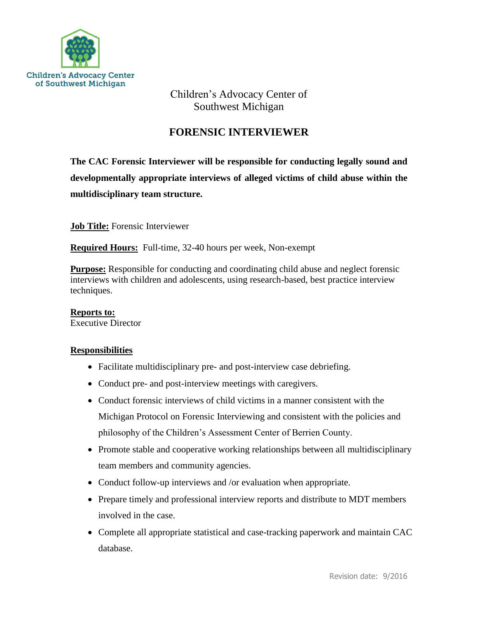

Children's Advocacy Center of Southwest Michigan

## **FORENSIC INTERVIEWER**

**The CAC Forensic Interviewer will be responsible for conducting legally sound and developmentally appropriate interviews of alleged victims of child abuse within the multidisciplinary team structure.**

**Job Title:** Forensic Interviewer

**Required Hours:** Full-time, 32-40 hours per week, Non-exempt

**Purpose:** Responsible for conducting and coordinating child abuse and neglect forensic interviews with children and adolescents, using research-based, best practice interview techniques.

**Reports to:** Executive Director

## **Responsibilities**

- Facilitate multidisciplinary pre- and post-interview case debriefing.
- Conduct pre- and post-interview meetings with caregivers.
- Conduct forensic interviews of child victims in a manner consistent with the Michigan Protocol on Forensic Interviewing and consistent with the policies and philosophy of the Children's Assessment Center of Berrien County.
- Promote stable and cooperative working relationships between all multidisciplinary team members and community agencies.
- Conduct follow-up interviews and /or evaluation when appropriate.
- Prepare timely and professional interview reports and distribute to MDT members involved in the case.
- Complete all appropriate statistical and case-tracking paperwork and maintain CAC database.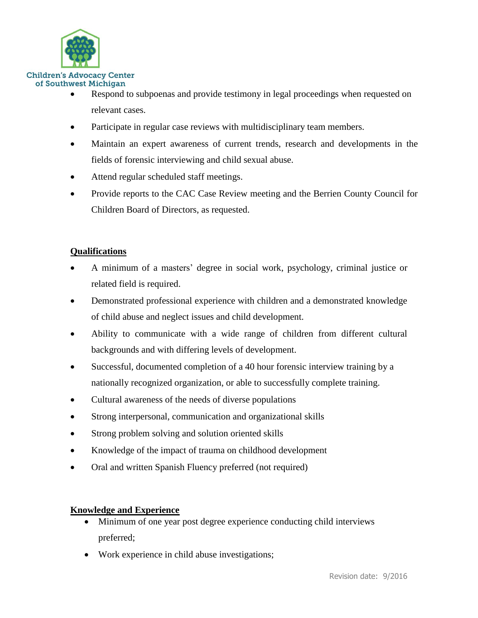

- Respond to subpoenas and provide testimony in legal proceedings when requested on relevant cases.
- Participate in regular case reviews with multidisciplinary team members.
- Maintain an expert awareness of current trends, research and developments in the fields of forensic interviewing and child sexual abuse.
- Attend regular scheduled staff meetings.
- Provide reports to the CAC Case Review meeting and the Berrien County Council for Children Board of Directors, as requested.

## **Qualifications**

- A minimum of a masters' degree in social work, psychology, criminal justice or related field is required.
- Demonstrated professional experience with children and a demonstrated knowledge of child abuse and neglect issues and child development.
- Ability to communicate with a wide range of children from different cultural backgrounds and with differing levels of development.
- Successful, documented completion of a 40 hour forensic interview training by a nationally recognized organization, or able to successfully complete training.
- Cultural awareness of the needs of diverse populations
- Strong interpersonal, communication and organizational skills
- Strong problem solving and solution oriented skills
- Knowledge of the impact of trauma on childhood development
- Oral and written Spanish Fluency preferred (not required)

## **Knowledge and Experience**

- Minimum of one year post degree experience conducting child interviews preferred;
- Work experience in child abuse investigations;